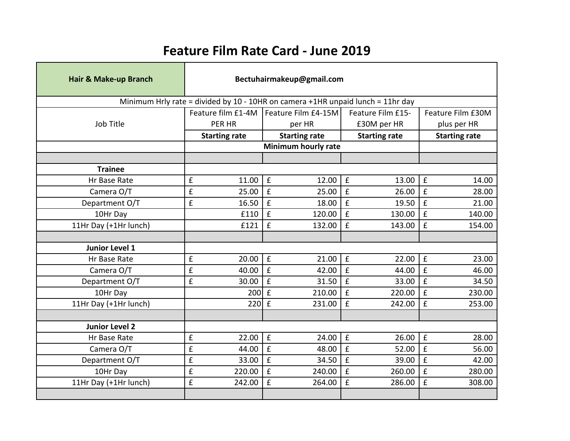## **Feature Film Rate Card - June 2019**

| Hair & Make-up Branch                                                           | Bectuhairmakeup@gmail.com    |            |                             |                    |                      |                    |                      |  |
|---------------------------------------------------------------------------------|------------------------------|------------|-----------------------------|--------------------|----------------------|--------------------|----------------------|--|
| Minimum Hrly rate = divided by 10 - 10HR on camera +1HR unpaid lunch = 11hr day |                              |            |                             |                    |                      |                    |                      |  |
|                                                                                 | Feature film £1-4M           |            | Feature Film £4-15M         |                    | Feature Film £15-    |                    | Feature Film £30M    |  |
| Job Title                                                                       | PER HR                       |            | per HR                      |                    | £30M per HR          |                    | plus per HR          |  |
|                                                                                 | <b>Starting rate</b>         |            | <b>Starting rate</b>        |                    | <b>Starting rate</b> |                    | <b>Starting rate</b> |  |
|                                                                                 |                              |            |                             |                    |                      |                    |                      |  |
|                                                                                 |                              |            |                             |                    |                      |                    |                      |  |
| <b>Trainee</b>                                                                  |                              |            |                             |                    |                      |                    |                      |  |
| Hr Base Rate                                                                    | £                            | 11.00      | $\mathbf f$<br>12.00        | $\mathbf f$        | 13.00                | £                  | 14.00                |  |
| Camera O/T                                                                      | £                            | 25.00      | £<br>25.00                  | £                  | 26.00                | £                  | 28.00                |  |
| Department O/T                                                                  | £                            | 16.50      | £<br>18.00                  | £                  | 19.50                | $\mathbf f$        | 21.00                |  |
| 10Hr Day                                                                        |                              | £110       | £<br>120.00                 | £                  | 130.00               | f                  | 140.00               |  |
| 11Hr Day (+1Hr lunch)                                                           |                              | £121       | £<br>132.00                 | £                  | 143.00               | f                  | 154.00               |  |
|                                                                                 |                              |            |                             |                    |                      |                    |                      |  |
| <b>Junior Level 1</b>                                                           |                              |            |                             |                    |                      |                    |                      |  |
| Hr Base Rate                                                                    | £                            | 20.00      | $\mathbf f$<br>21.00        | £                  | 22.00                | $\mathbf f$        | 23.00                |  |
| Camera O/T                                                                      | £                            | 40.00      | $\mathbf f$<br>42.00        | £                  | 44.00                | £                  | 46.00                |  |
| Department O/T                                                                  | £                            | 30.00      | £<br>31.50                  | £                  | 33.00                | £                  | 34.50                |  |
| 10Hr Day                                                                        |                              | <b>200</b> | $\mathbf f$<br>210.00       | £                  | 220.00               | £                  | 230.00               |  |
| 11Hr Day (+1Hr lunch)                                                           |                              | <b>220</b> | $\mathbf f$<br>231.00       | $\mathbf f$        | 242.00               | £                  | 253.00               |  |
|                                                                                 |                              |            |                             |                    |                      |                    |                      |  |
| <b>Junior Level 2</b>                                                           |                              |            |                             |                    |                      |                    |                      |  |
| Hr Base Rate                                                                    | $\pmb{\mathsf{f}}$           | 22.00      | $\mathbf f$<br>24.00        | £                  | 26.00                | $\pmb{\mathsf{f}}$ | 28.00                |  |
| Camera O/T                                                                      | £                            | 44.00      | $\mathbf f$<br>48.00        | $\pmb{\mathsf{f}}$ | 52.00                | $\pmb{\mathsf{f}}$ | 56.00                |  |
| Department O/T                                                                  | $\pmb{\mathsf{f}}$           | 33.00      | $\pmb{\mathsf{f}}$<br>34.50 | $\pmb{\mathsf{f}}$ | 39.00                | $\pmb{\mathsf{f}}$ | 42.00                |  |
| 10Hr Day                                                                        | $\pmb{\mathsf{f}}$<br>220.00 |            | $\mathbf f$<br>240.00       | $\pmb{\mathsf{f}}$ | 260.00               | $\pmb{\mathsf{f}}$ | 280.00               |  |
| 11Hr Day (+1Hr lunch)                                                           | £<br>242.00                  |            | £<br>264.00                 | £                  | 286.00               | £                  | 308.00               |  |
|                                                                                 |                              |            |                             |                    |                      |                    |                      |  |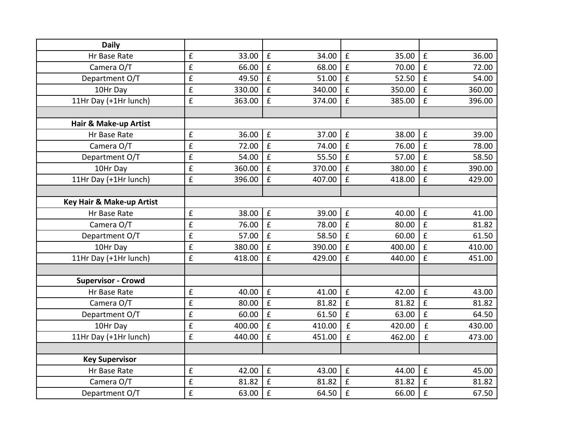| <b>Daily</b>              |                    |        |                    |        |                    |        |                    |        |
|---------------------------|--------------------|--------|--------------------|--------|--------------------|--------|--------------------|--------|
| Hr Base Rate              | $\pmb{\mathsf{f}}$ | 33.00  | $\pmb{\mathsf{f}}$ | 34.00  | £                  | 35.00  | $\pmb{\mathsf{f}}$ | 36.00  |
| Camera O/T                | $\pmb{\mathsf{f}}$ | 66.00  | £                  | 68.00  | $\pmb{\mathsf{f}}$ | 70.00  | $\pmb{\mathsf{f}}$ | 72.00  |
| Department O/T            | £                  | 49.50  | £                  | 51.00  | £                  | 52.50  | $\pmb{\mathsf{f}}$ | 54.00  |
| 10Hr Day                  | $\pmb{\mathsf{f}}$ | 330.00 | £                  | 340.00 | £                  | 350.00 | £                  | 360.00 |
| 11Hr Day (+1Hr lunch)     | £                  | 363.00 | £                  | 374.00 | £                  | 385.00 | £                  | 396.00 |
|                           |                    |        |                    |        |                    |        |                    |        |
| Hair & Make-up Artist     |                    |        |                    |        |                    |        |                    |        |
| Hr Base Rate              | £                  | 36.00  | £                  | 37.00  | £                  | 38.00  | $\pmb{\mathsf{f}}$ | 39.00  |
| Camera O/T                | $\pmb{\mathsf{f}}$ | 72.00  | $\pmb{\mathsf{f}}$ | 74.00  | $\mathbf f$        | 76.00  | $\pmb{\mathsf{f}}$ | 78.00  |
| Department O/T            | £                  | 54.00  | £                  | 55.50  | £                  | 57.00  | $\pmb{\mathsf{f}}$ | 58.50  |
| 10Hr Day                  | £                  | 360.00 | £                  | 370.00 | £                  | 380.00 | £                  | 390.00 |
| 11Hr Day (+1Hr lunch)     | £                  | 396.00 | £                  | 407.00 | £                  | 418.00 | $\pmb{\mathsf{f}}$ | 429.00 |
|                           |                    |        |                    |        |                    |        |                    |        |
| Key Hair & Make-up Artist |                    |        |                    |        |                    |        |                    |        |
| Hr Base Rate              | $\pmb{\mathsf{f}}$ | 38.00  | $\pmb{\mathsf{f}}$ | 39.00  | £                  | 40.00  | $\pmb{\mathsf{f}}$ | 41.00  |
| Camera O/T                | £                  | 76.00  | £                  | 78.00  | £                  | 80.00  | £                  | 81.82  |
| Department O/T            | £                  | 57.00  | £                  | 58.50  | £                  | 60.00  | $\mathbf f$        | 61.50  |
| 10Hr Day                  | $\pmb{\mathsf{f}}$ | 380.00 | £                  | 390.00 | £                  | 400.00 | $\pmb{\mathsf{f}}$ | 410.00 |
| 11Hr Day (+1Hr lunch)     | $\pmb{\mathsf{f}}$ | 418.00 | £                  | 429.00 | £                  | 440.00 | $\pmb{\mathsf{f}}$ | 451.00 |
|                           |                    |        |                    |        |                    |        |                    |        |
| <b>Supervisor - Crowd</b> |                    |        |                    |        |                    |        |                    |        |
| Hr Base Rate              | $\pmb{\mathsf{f}}$ | 40.00  | $\pmb{\mathsf{f}}$ | 41.00  | $\pmb{\mathsf{f}}$ | 42.00  | $\pmb{\mathsf{f}}$ | 43.00  |
| Camera O/T                | £                  | 80.00  | $\mathbf f$        | 81.82  | £                  | 81.82  | $\pmb{\mathsf{f}}$ | 81.82  |
| Department O/T            | $\pmb{\mathsf{f}}$ | 60.00  | £                  | 61.50  | £                  | 63.00  | £                  | 64.50  |
| 10Hr Day                  | $\pmb{\mathsf{f}}$ | 400.00 | £                  | 410.00 | $\pmb{\mathsf{f}}$ | 420.00 | £                  | 430.00 |
| 11Hr Day (+1Hr lunch)     | $\pmb{\mathsf{f}}$ | 440.00 | £                  | 451.00 | $\hat{\mathbf{f}}$ | 462.00 | £                  | 473.00 |
|                           |                    |        |                    |        |                    |        |                    |        |
| <b>Key Supervisor</b>     |                    |        |                    |        |                    |        |                    |        |
| Hr Base Rate              | £                  | 42.00  | £                  | 43.00  | $\mathbf f$        | 44.00  | $\hat{\mathbf{f}}$ | 45.00  |
| Camera O/T                | $\pmb{\mathsf{f}}$ | 81.82  | £                  | 81.82  | £                  | 81.82  | $\pmb{\mathsf{f}}$ | 81.82  |
| Department O/T            | £                  | 63.00  | £                  | 64.50  | £                  | 66.00  | $\pmb{\mathsf{f}}$ | 67.50  |